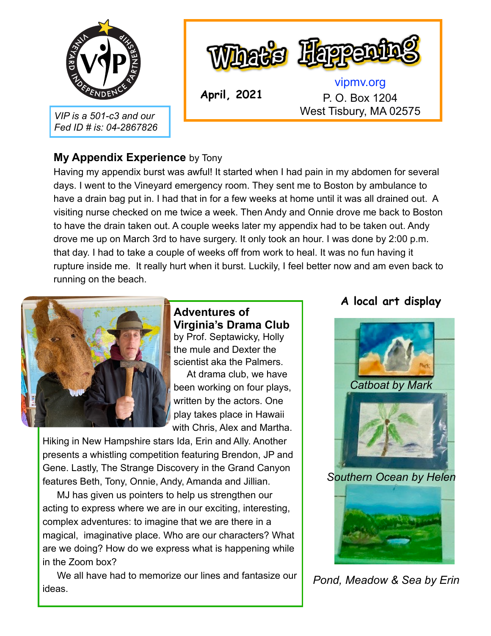

*VIP is a 501-c3 and our Fed ID # is: 04-2867826*



**April, 2021**

[vipmv.org](http://vipmv.org) P. O. Box 1204 West Tisbury, MA 02575

#### **My Appendix Experience** by Tony

Having my appendix burst was awful! It started when I had pain in my abdomen for several days. I went to the Vineyard emergency room. They sent me to Boston by ambulance to have a drain bag put in. I had that in for a few weeks at home until it was all drained out. A visiting nurse checked on me twice a week. Then Andy and Onnie drove me back to Boston to have the drain taken out. A couple weeks later my appendix had to be taken out. Andy drove me up on March 3rd to have surgery. It only took an hour. I was done by 2:00 p.m. that day. I had to take a couple of weeks off from work to heal. It was no fun having it rupture inside me. It really hurt when it burst. Luckily, I feel better now and am even back to running on the beach.



**Adventures of Virginia's Drama Club**  by Prof. Septawicky, Holly the mule and Dexter the

scientist aka the Palmers. At drama club, we have been working on four plays, written by the actors. One play takes place in Hawaii with Chris, Alex and Martha.

Hiking in New Hampshire stars Ida, Erin and Ally. Another presents a whistling competition featuring Brendon, JP and Gene. Lastly, The Strange Discovery in the Grand Canyon features Beth, Tony, Onnie, Andy, Amanda and Jillian.

 MJ has given us pointers to help us strengthen our acting to express where we are in our exciting, interesting, complex adventures: to imagine that we are there in a magical, imaginative place. Who are our characters? What are we doing? How do we express what is happening while in the Zoom box?

 We all have had to memorize our lines and fantasize our ideas.

# **A local art display**



*Southern Ocean by Helen*



*Pond, Meadow & Sea by Erin*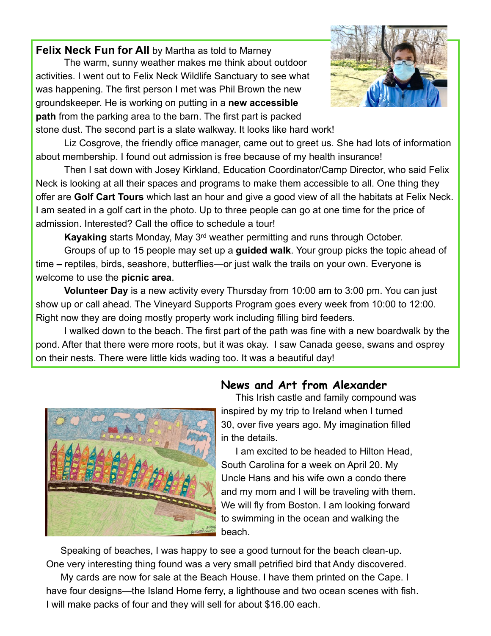**Felix Neck Fun for All** by Martha as told to Marney

 The warm, sunny weather makes me think about outdoor activities. I went out to Felix Neck Wildlife Sanctuary to see what was happening. The first person I met was Phil Brown the new groundskeeper. He is working on putting in a **new accessible path** from the parking area to the barn. The first part is packed stone dust. The second part is a slate walkway. It looks like hard work!



 Liz Cosgrove, the friendly office manager, came out to greet us. She had lots of information about membership. I found out admission is free because of my health insurance!

 Then I sat down with Josey Kirkland, Education Coordinator/Camp Director, who said Felix Neck is looking at all their spaces and programs to make them accessible to all. One thing they offer are **Golf Cart Tours** which last an hour and give a good view of all the habitats at Felix Neck. I am seated in a golf cart in the photo. Up to three people can go at one time for the price of admission. Interested? Call the office to schedule a tour!

**Kayaking** starts Monday, May 3rd weather permitting and runs through October.

 Groups of up to 15 people may set up a **guided walk**. Your group picks the topic ahead of time **–** reptiles, birds, seashore, butterflies—or just walk the trails on your own. Everyone is welcome to use the **picnic area**.

**Volunteer Day** is a new activity every Thursday from 10:00 am to 3:00 pm. You can just show up or call ahead. The Vineyard Supports Program goes every week from 10:00 to 12:00. Right now they are doing mostly property work including filling bird feeders.

 I walked down to the beach. The first part of the path was fine with a new boardwalk by the pond. After that there were more roots, but it was okay. I saw Canada geese, swans and osprey on their nests. There were little kids wading too. It was a beautiful day!



## **News and Art from Alexander**

This Irish castle and family compound was inspired by my trip to Ireland when I turned 30, over five years ago. My imagination filled in the details.

 I am excited to be headed to Hilton Head, South Carolina for a week on April 20. My Uncle Hans and his wife own a condo there and my mom and I will be traveling with them. We will fly from Boston. I am looking forward to swimming in the ocean and walking the beach.

 Speaking of beaches, I was happy to see a good turnout for the beach clean-up. One very interesting thing found was a very small petrified bird that Andy discovered.

 My cards are now for sale at the Beach House. I have them printed on the Cape. I have four designs—the Island Home ferry, a lighthouse and two ocean scenes with fish. I will make packs of four and they will sell for about \$16.00 each.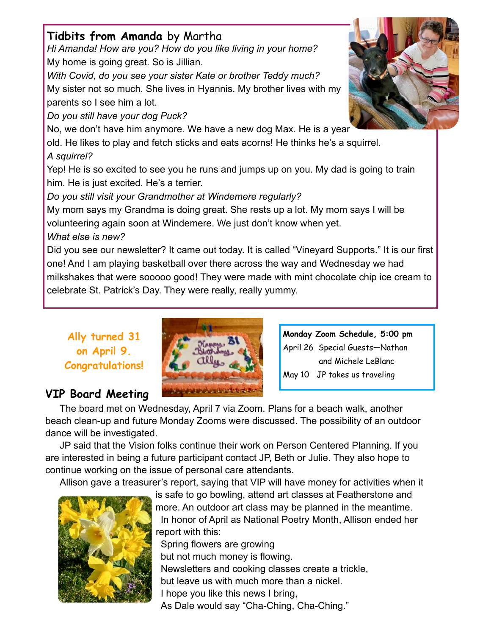## **Tidbits from Amanda** by Martha

*Hi Amanda! How are you? How do you like living in your home?*  My home is going great. So is Jillian.

*With Covid, do you see your sister Kate or brother Teddy much?*  My sister not so much. She lives in Hyannis. My brother lives with my parents so I see him a lot.

*Do you still have your dog Puck?* 

No, we don't have him anymore. We have a new dog Max. He is a year

old. He likes to play and fetch sticks and eats acorns! He thinks he's a squirrel.

#### *A squirrel?*

Yep! He is so excited to see you he runs and jumps up on you. My dad is going to train him. He is just excited. He's a terrier.

*Do you still visit your Grandmother at Windemere regularly?* 

My mom says my Grandma is doing great. She rests up a lot. My mom says I will be volunteering again soon at Windemere. We just don't know when yet. *What else is new?* 

Did you see our newsletter? It came out today. It is called "Vineyard Supports." It is our first one! And I am playing basketball over there across the way and Wednesday we had milkshakes that were sooooo good! They were made with mint chocolate chip ice cream to celebrate St. Patrick's Day. They were really, really yummy.

**Ally turned 31 on April 9. Congratulations!** 

# **VIP Board Meeting**



**Monday Zoom Schedule, 5:00 pm**  April 26 Special Guests—Nathan and Michele LeBlanc May 10 JP takes us traveling

The board met on Wednesday, April 7 via Zoom. Plans for a beach walk, another beach clean-up and future Monday Zooms were discussed. The possibility of an outdoor dance will be investigated.

 JP said that the Vision folks continue their work on Person Centered Planning. If you are interested in being a future participant contact JP, Beth or Julie. They also hope to continue working on the issue of personal care attendants.

Allison gave a treasurer's report, saying that VIP will have money for activities when it



is safe to go bowling, attend art classes at Featherstone and more. An outdoor art class may be planned in the meantime. In honor of April as National Poetry Month, Allison ended her report with this: Spring flowers are growing but not much money is flowing. Newsletters and cooking classes create a trickle, but leave us with much more than a nickel. I hope you like this news I bring, As Dale would say "Cha-Ching, Cha-Ching."